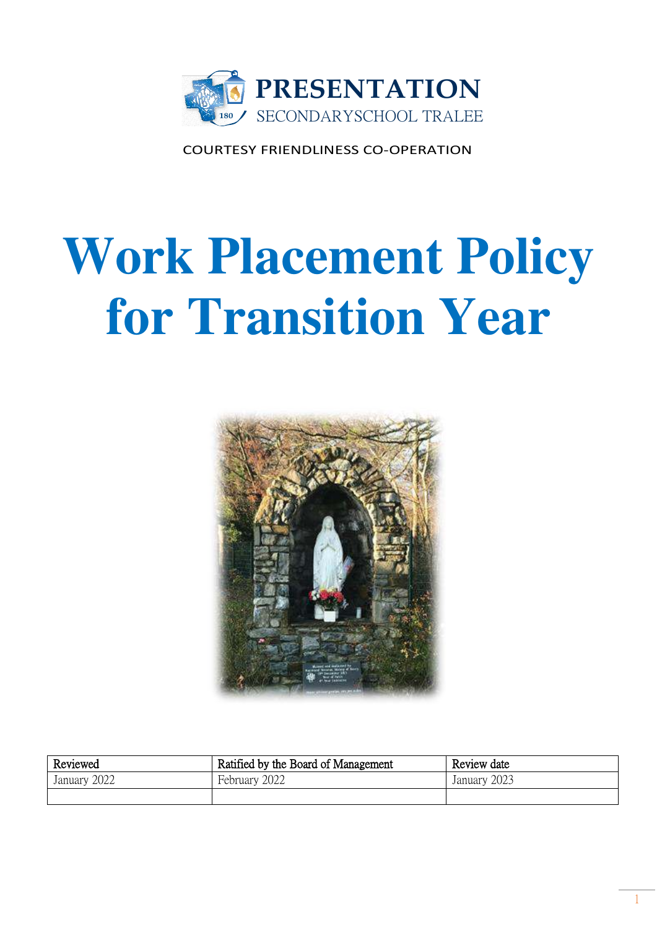

COURTESY FRIENDLINESS CO-OPERATION

# **Work Placement Policy for Transition Year**



| Reviewed     | Ratified by the Board of Management | Review date  |
|--------------|-------------------------------------|--------------|
| January 2022 | February 2022                       | January 2023 |
|              |                                     |              |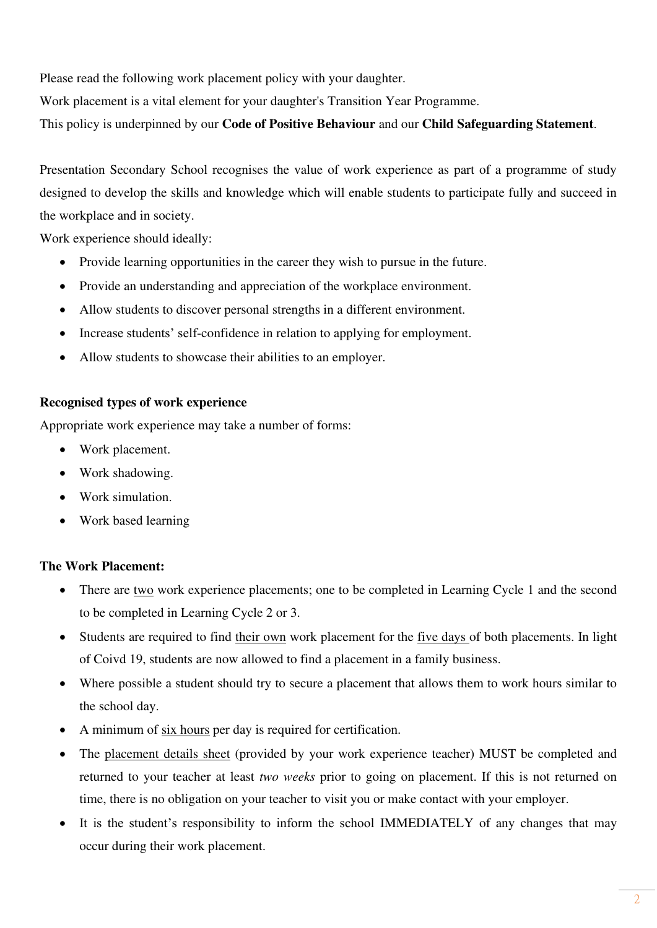Please read the following work placement policy with your daughter.

Work placement is a vital element for your daughter's Transition Year Programme.

This policy is underpinned by our **Code of Positive Behaviour** and our **Child Safeguarding Statement**.

Presentation Secondary School recognises the value of work experience as part of a programme of study designed to develop the skills and knowledge which will enable students to participate fully and succeed in the workplace and in society.

Work experience should ideally:

- Provide learning opportunities in the career they wish to pursue in the future.
- Provide an understanding and appreciation of the workplace environment.
- Allow students to discover personal strengths in a different environment.
- Increase students' self-confidence in relation to applying for employment.
- Allow students to showcase their abilities to an employer.

## **Recognised types of work experience**

Appropriate work experience may take a number of forms:

- Work placement.
- Work shadowing.
- Work simulation.
- Work based learning

## **The Work Placement:**

- There are two work experience placements; one to be completed in Learning Cycle 1 and the second to be completed in Learning Cycle 2 or 3.
- Students are required to find their own work placement for the five days of both placements. In light of Coivd 19, students are now allowed to find a placement in a family business.
- Where possible a student should try to secure a placement that allows them to work hours similar to the school day.
- A minimum of six hours per day is required for certification.
- The placement details sheet (provided by your work experience teacher) MUST be completed and returned to your teacher at least *two weeks* prior to going on placement. If this is not returned on time, there is no obligation on your teacher to visit you or make contact with your employer.
- It is the student's responsibility to inform the school IMMEDIATELY of any changes that may occur during their work placement.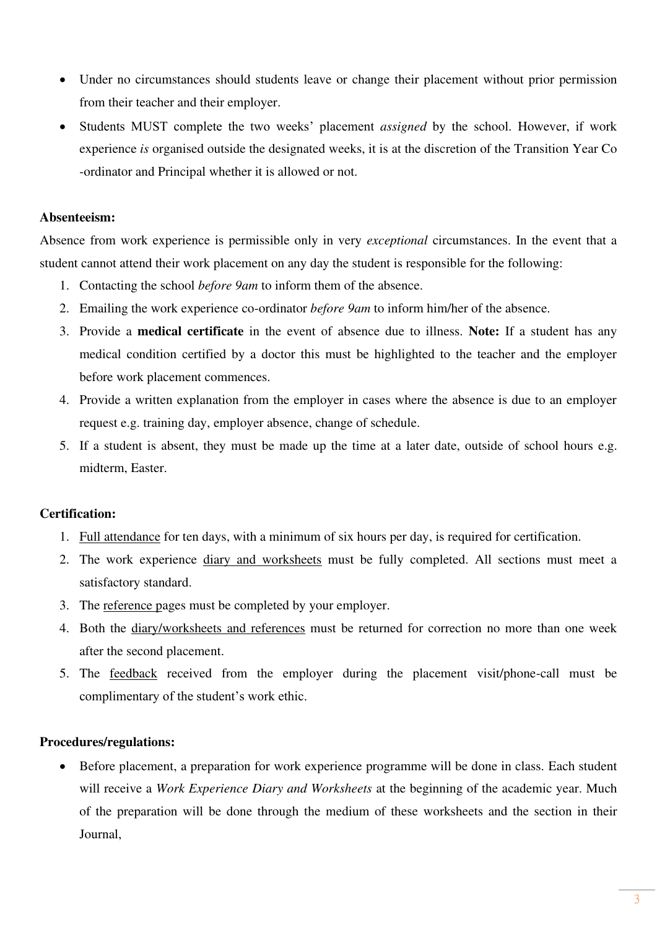- Under no circumstances should students leave or change their placement without prior permission from their teacher and their employer.
- Students MUST complete the two weeks' placement *assigned* by the school. However, if work experience *is* organised outside the designated weeks, it is at the discretion of the Transition Year Co -ordinator and Principal whether it is allowed or not.

#### **Absenteeism:**

Absence from work experience is permissible only in very *exceptional* circumstances. In the event that a student cannot attend their work placement on any day the student is responsible for the following:

- 1. Contacting the school *before 9am* to inform them of the absence.
- 2. Emailing the work experience co-ordinator *before 9am* to inform him/her of the absence.
- 3. Provide a **medical certificate** in the event of absence due to illness. **Note:** If a student has any medical condition certified by a doctor this must be highlighted to the teacher and the employer before work placement commences.
- 4. Provide a written explanation from the employer in cases where the absence is due to an employer request e.g. training day, employer absence, change of schedule.
- 5. If a student is absent, they must be made up the time at a later date, outside of school hours e.g. midterm, Easter.

### **Certification:**

- 1. Full attendance for ten days, with a minimum of six hours per day, is required for certification.
- 2. The work experience diary and worksheets must be fully completed. All sections must meet a satisfactory standard.
- 3. The reference pages must be completed by your employer.
- 4. Both the diary/worksheets and references must be returned for correction no more than one week after the second placement.
- 5. The feedback received from the employer during the placement visit/phone-call must be complimentary of the student's work ethic.

### **Procedures/regulations:**

• Before placement, a preparation for work experience programme will be done in class. Each student will receive a *Work Experience Diary and Worksheets* at the beginning of the academic year. Much of the preparation will be done through the medium of these worksheets and the section in their Journal,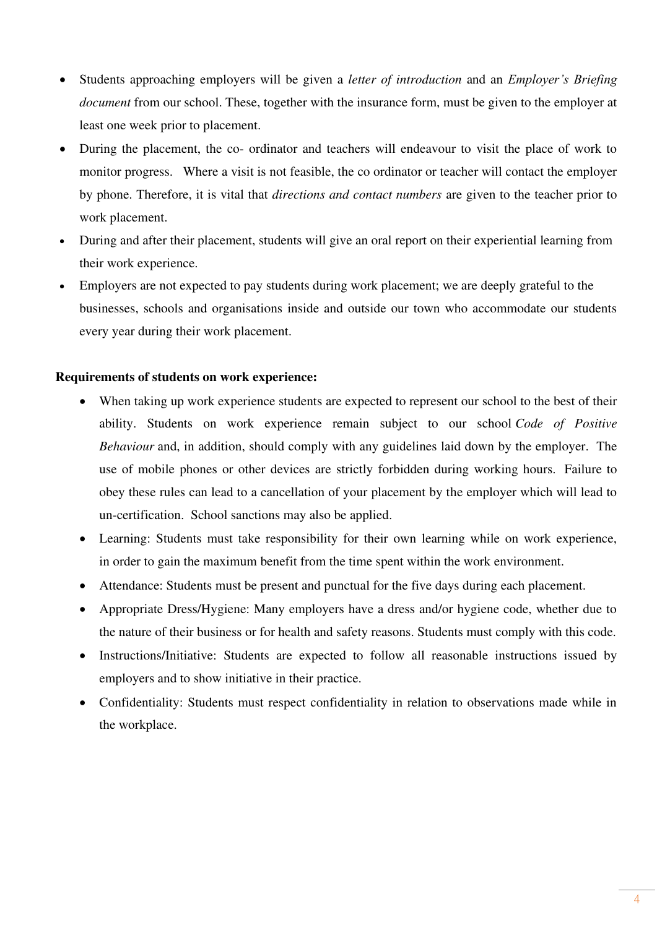- Students approaching employers will be given a *letter of introduction* and an *Employer's Briefing document* from our school. These, together with the insurance form, must be given to the employer at least one week prior to placement.
- During the placement, the co- ordinator and teachers will endeavour to visit the place of work to monitor progress. Where a visit is not feasible, the co ordinator or teacher will contact the employer by phone. Therefore, it is vital that *directions and contact numbers* are given to the teacher prior to work placement.
- During and after their placement, students will give an oral report on their experiential learning from their work experience.
- Employers are not expected to pay students during work placement; we are deeply grateful to the businesses, schools and organisations inside and outside our town who accommodate our students every year during their work placement.

## **Requirements of students on work experience:**

- When taking up work experience students are expected to represent our school to the best of their ability. Students on work experience remain subject to our school *Code of Positive Behaviour* and, in addition, should comply with any guidelines laid down by the employer. The use of mobile phones or other devices are strictly forbidden during working hours. Failure to obey these rules can lead to a cancellation of your placement by the employer which will lead to un-certification. School sanctions may also be applied.
- Learning: Students must take responsibility for their own learning while on work experience, in order to gain the maximum benefit from the time spent within the work environment.
- Attendance: Students must be present and punctual for the five days during each placement.
- Appropriate Dress/Hygiene: Many employers have a dress and/or hygiene code, whether due to the nature of their business or for health and safety reasons. Students must comply with this code.
- Instructions/Initiative: Students are expected to follow all reasonable instructions issued by employers and to show initiative in their practice.
- Confidentiality: Students must respect confidentiality in relation to observations made while in the workplace.